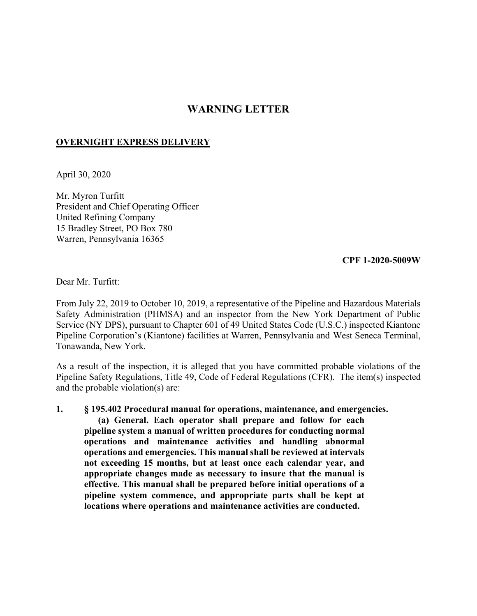## **WARNING LETTER**

## **OVERNIGHT EXPRESS DELIVERY**

April 30, 2020

Mr. Myron Turfitt President and Chief Operating Officer United Refining Company 15 Bradley Street, PO Box 780 Warren, Pennsylvania 16365

**CPF 1-2020-5009W** 

Dear Mr. Turfitt:

From July 22, 2019 to October 10, 2019, a representative of the Pipeline and Hazardous Materials Safety Administration (PHMSA) and an inspector from the New York Department of Public Service (NY DPS), pursuant to Chapter 601 of 49 United States Code (U.S.C.) inspected Kiantone Pipeline Corporation's (Kiantone) facilities at Warren, Pennsylvania and West Seneca Terminal, Tonawanda, New York.

As a result of the inspection, it is alleged that you have committed probable violations of the Pipeline Safety Regulations, Title 49, Code of Federal Regulations (CFR). The item(s) inspected and the probable violation(s) are:

**1. § 195.402 Procedural manual for operations, maintenance, and emergencies. (a) General. Each operator shall prepare and follow for each pipeline system a manual of written procedures for conducting normal operations and maintenance activities and handling abnormal operations and emergencies. This manual shall be reviewed at intervals not exceeding 15 months, but at least once each calendar year, and appropriate changes made as necessary to insure that the manual is effective. This manual shall be prepared before initial operations of a pipeline system commence, and appropriate parts shall be kept at locations where operations and maintenance activities are conducted.**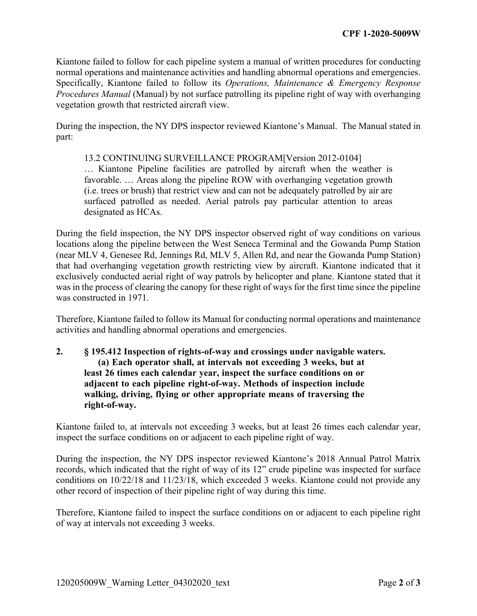Kiantone failed to follow for each pipeline system a manual of written procedures for conducting normal operations and maintenance activities and handling abnormal operations and emergencies. Specifically, Kiantone failed to follow its *Operations, Maintenance & Emergency Response Procedures Manual* (Manual) by not surface patrolling its pipeline right of way with overhanging vegetation growth that restricted aircraft view.

During the inspection, the NY DPS inspector reviewed Kiantone's Manual. The Manual stated in part:

## 13.2 CONTINUING SURVEILLANCE PROGRAM[Version 2012-0104]

… Kiantone Pipeline facilities are patrolled by aircraft when the weather is favorable. … Areas along the pipeline ROW with overhanging vegetation growth (i.e. trees or brush) that restrict view and can not be adequately patrolled by air are surfaced patrolled as needed. Aerial patrols pay particular attention to areas designated as HCAs.

During the field inspection, the NY DPS inspector observed right of way conditions on various locations along the pipeline between the West Seneca Terminal and the Gowanda Pump Station (near MLV 4, Genesee Rd, Jennings Rd, MLV 5, Allen Rd, and near the Gowanda Pump Station) that had overhanging vegetation growth restricting view by aircraft. Kiantone indicated that it exclusively conducted aerial right of way patrols by helicopter and plane. Kiantone stated that it was in the process of clearing the canopy for these right of ways for the first time since the pipeline was constructed in 1971.

Therefore, Kiantone failed to follow its Manual for conducting normal operations and maintenance activities and handling abnormal operations and emergencies.

## **2. § 195.412 Inspection of rights-of-way and crossings under navigable waters. (a) Each operator shall, at intervals not exceeding 3 weeks, but at least 26 times each calendar year, inspect the surface conditions on or adjacent to each pipeline right-of-way. Methods of inspection include walking, driving, flying or other appropriate means of traversing the right-of-way.**

Kiantone failed to, at intervals not exceeding 3 weeks, but at least 26 times each calendar year, inspect the surface conditions on or adjacent to each pipeline right of way.

During the inspection, the NY DPS inspector reviewed Kiantone's 2018 Annual Patrol Matrix records, which indicated that the right of way of its 12" crude pipeline was inspected for surface conditions on 10/22/18 and 11/23/18, which exceeded 3 weeks. Kiantone could not provide any other record of inspection of their pipeline right of way during this time.

Therefore, Kiantone failed to inspect the surface conditions on or adjacent to each pipeline right of way at intervals not exceeding 3 weeks.